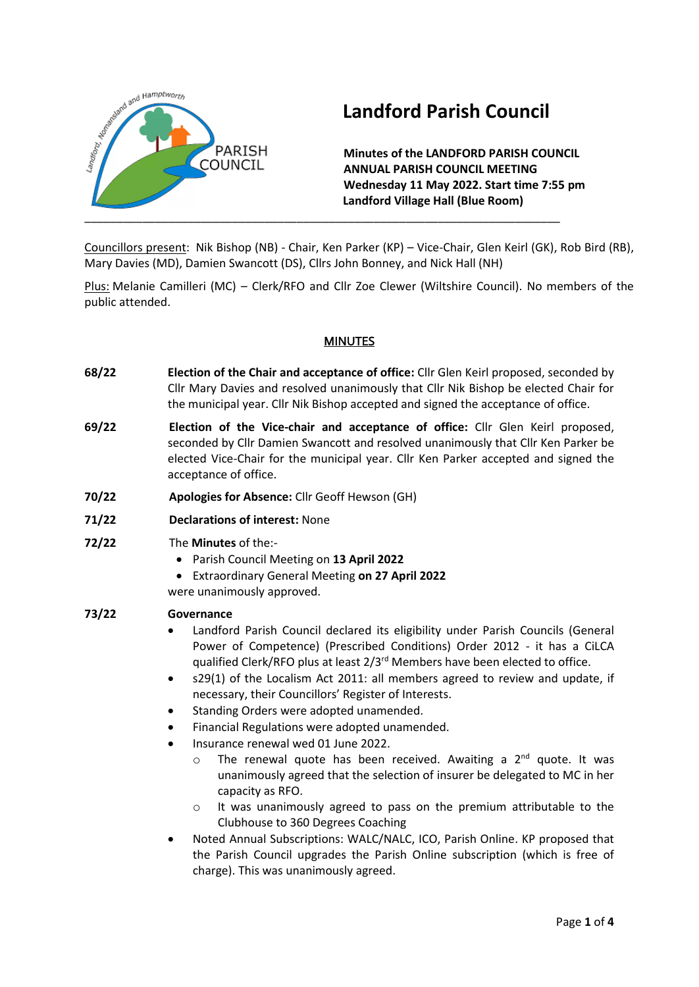

# **Landford Parish Council**

**Minutes of the LANDFORD PARISH COUNCIL ANNUAL PARISH COUNCIL MEETING Wednesday 11 May 2022. Start time 7:55 pm Landford Village Hall (Blue Room)**

Councillors present: Nik Bishop (NB) - Chair, Ken Parker (KP) – Vice-Chair, Glen Keirl (GK), Rob Bird (RB), Mary Davies (MD), Damien Swancott (DS), Cllrs John Bonney, and Nick Hall (NH)

Plus: Melanie Camilleri (MC) – Clerk/RFO and Cllr Zoe Clewer (Wiltshire Council). No members of the public attended.

### **MINUTES**

- **68/22 Election of the Chair and acceptance of office:** Cllr Glen Keirl proposed, seconded by Cllr Mary Davies and resolved unanimously that Cllr Nik Bishop be elected Chair for the municipal year. Cllr Nik Bishop accepted and signed the acceptance of office.
- **69/22 Election of the Vice-chair and acceptance of office:** Cllr Glen Keirl proposed, seconded by Cllr Damien Swancott and resolved unanimously that Cllr Ken Parker be elected Vice-Chair for the municipal year. Cllr Ken Parker accepted and signed the acceptance of office.
- **70/22 Apologies for Absence:** Cllr Geoff Hewson (GH)
- **71/22 Declarations of interest:** None
- **72/22** The **Minutes** of the:-
	- Parish Council Meeting on **13 April 2022**
	- Extraordinary General Meeting **on 27 April 2022**
	- were unanimously approved.

#### **73/22 Governance**

- Landford Parish Council declared its eligibility under Parish Councils (General Power of Competence) (Prescribed Conditions) Order 2012 - it has a CiLCA qualified Clerk/RFO plus at least 2/3<sup>rd</sup> Members have been elected to office.
- s29(1) of the Localism Act 2011: all members agreed to review and update, if necessary, their Councillors' Register of Interests.
- Standing Orders were adopted unamended.
- Financial Regulations were adopted unamended.
- Insurance renewal wed 01 June 2022.
	- $\circ$  The renewal quote has been received. Awaiting a 2<sup>nd</sup> quote. It was unanimously agreed that the selection of insurer be delegated to MC in her capacity as RFO.
	- o It was unanimously agreed to pass on the premium attributable to the Clubhouse to 360 Degrees Coaching
- Noted Annual Subscriptions: WALC/NALC, ICO, Parish Online. KP proposed that the Parish Council upgrades the Parish Online subscription (which is free of charge). This was unanimously agreed.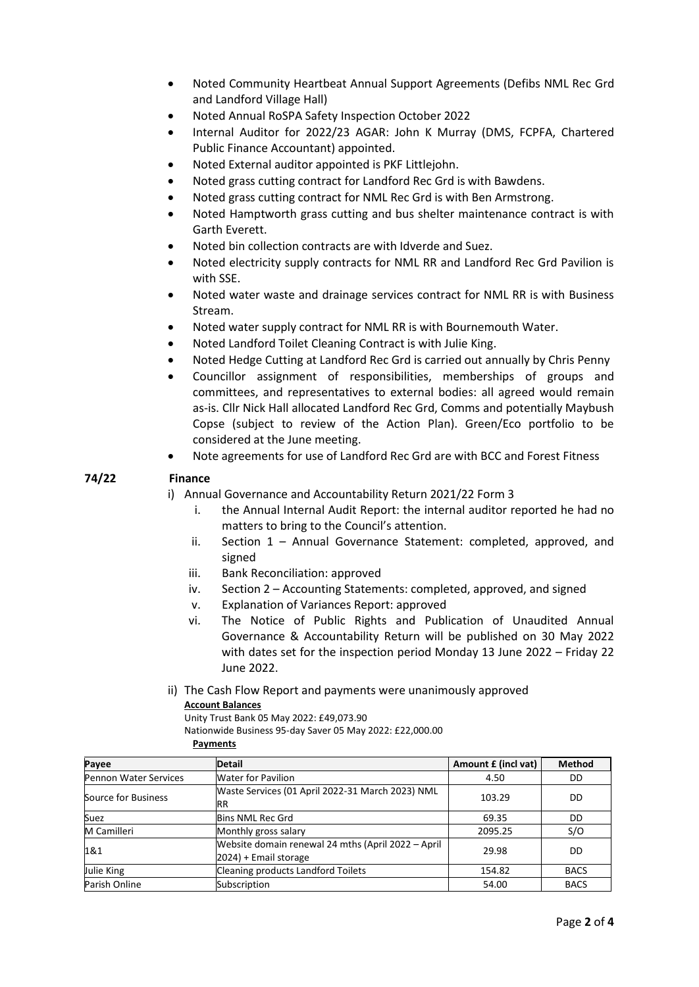- Noted Community Heartbeat Annual Support Agreements (Defibs NML Rec Grd and Landford Village Hall)
- Noted Annual RoSPA Safety Inspection October 2022
- Internal Auditor for 2022/23 AGAR: John K Murray (DMS, FCPFA, Chartered Public Finance Accountant) appointed.
- Noted External auditor appointed is PKF Littlejohn.
- Noted grass cutting contract for Landford Rec Grd is with Bawdens.
- Noted grass cutting contract for NML Rec Grd is with Ben Armstrong.
- Noted Hamptworth grass cutting and bus shelter maintenance contract is with Garth Everett.
- Noted bin collection contracts are with Idverde and Suez.
- Noted electricity supply contracts for NML RR and Landford Rec Grd Pavilion is with SSE.
- Noted water waste and drainage services contract for NML RR is with Business Stream.
- Noted water supply contract for NML RR is with Bournemouth Water.
- Noted Landford Toilet Cleaning Contract is with Julie King.
- Noted Hedge Cutting at Landford Rec Grd is carried out annually by Chris Penny
- Councillor assignment of responsibilities, memberships of groups and committees, and representatives to external bodies: all agreed would remain as-is. Cllr Nick Hall allocated Landford Rec Grd, Comms and potentially Maybush Copse (subject to review of the Action Plan). Green/Eco portfolio to be considered at the June meeting.
- Note agreements for use of Landford Rec Grd are with BCC and Forest Fitness

#### **74/22 Finance**

i) Annual Governance and Accountability Return 2021/22 Form 3

- i. the Annual Internal Audit Report: the internal auditor reported he had no matters to bring to the Council's attention.
- ii. Section 1 Annual Governance Statement: completed, approved, and signed
- iii. Bank Reconciliation: approved
- iv. Section 2 Accounting Statements: completed, approved, and signed
- v. Explanation of Variances Report: approved
- vi. The Notice of Public Rights and Publication of Unaudited Annual Governance & Accountability Return will be published on 30 May 2022 with dates set for the inspection period Monday 13 June 2022 – Friday 22 June 2022.
- ii) The Cash Flow Report and payments were unanimously approved

#### **Account Balances**

Unity Trust Bank 05 May 2022: £49,073.90

Nationwide Business 95-day Saver 05 May 2022: £22,000.00

**Payments**

| Payee                        | <b>Detail</b>                                                               | Amount £ (incl vat) | <b>Method</b> |
|------------------------------|-----------------------------------------------------------------------------|---------------------|---------------|
| <b>Pennon Water Services</b> | <b>Water for Pavilion</b>                                                   | 4.50                | DD            |
| Source for Business          | Waste Services (01 April 2022-31 March 2023) NML<br>RR                      | 103.29              | DD            |
| Suez                         | <b>Bins NML Rec Grd</b>                                                     | 69.35               | DD            |
| M Camilleri                  | Monthly gross salary                                                        | 2095.25             | S/O           |
| 1&1                          | Website domain renewal 24 mths (April 2022 - April<br>2024) + Email storage | 29.98               | DD            |
| Julie King                   | Cleaning products Landford Toilets                                          | 154.82              | <b>BACS</b>   |
| Parish Online                | Subscription                                                                | 54.00               | <b>BACS</b>   |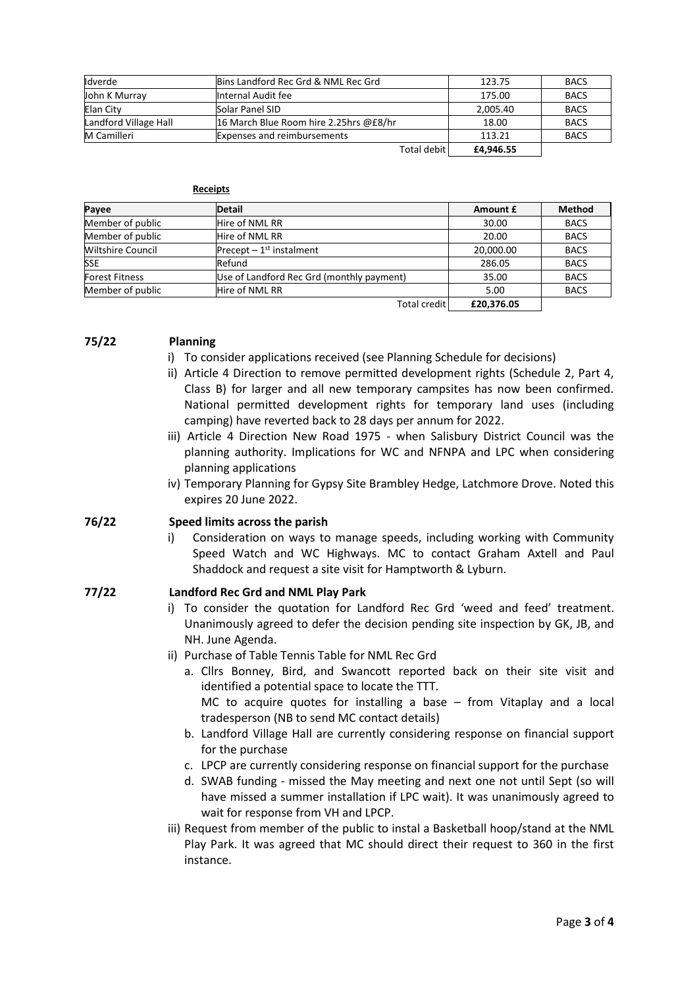| <b>I</b> dverde       | Bins Landford Rec Grd & NML Rec Grd    | 123.75    | <b>BACS</b> |
|-----------------------|----------------------------------------|-----------|-------------|
| John K Murray         | Internal Audit fee                     | 175.00    | <b>BACS</b> |
| Elan City             | Solar Panel SID                        | 2,005.40  | <b>BACS</b> |
| Landford Village Hall | 16 March Blue Room hire 2.25hrs @£8/hr | 18.00     | <b>BACS</b> |
| <b>M</b> Camilleri    | <b>Expenses and reimbursements</b>     | 113.21    | <b>BACS</b> |
|                       | Total debit                            | £4,946.55 |             |

| Receipts |  |
|----------|--|
|          |  |

| Payee                    | <b>Detail</b>                             | Amount £   | <b>Method</b> |
|--------------------------|-------------------------------------------|------------|---------------|
| Member of public         | Hire of NML RR                            | 30.00      | <b>BACS</b>   |
| Member of public         | Hire of NML RR                            | 20.00      | <b>BACS</b>   |
| <b>Wiltshire Council</b> | Precept $-1st$ instalment                 | 20,000.00  | <b>BACS</b>   |
| <b>SSE</b>               | Refund                                    | 286.05     | <b>BACS</b>   |
| <b>Forest Fitness</b>    | Use of Landford Rec Grd (monthly payment) | 35.00      | <b>BACS</b>   |
| Member of public         | Hire of NML RR                            | 5.00       | <b>BACS</b>   |
|                          | Total credit                              | £20.376.05 |               |

#### **75/22 Planning**

- i) To consider applications received (see Planning Schedule for decisions)
- ii) Article 4 Direction to remove permitted development rights (Schedule 2, Part 4, Class B) for larger and all new temporary campsites has now been confirmed. National permitted development rights for temporary land uses (including camping) have reverted back to 28 days per annum for 2022.
- iii) Article 4 Direction New Road 1975 when Salisbury District Council was the planning authority. Implications for WC and NFNPA and LPC when considering planning applications
- iv) Temporary Planning for Gypsy Site Brambley Hedge, Latchmore Drove. Noted this expires 20 June 2022.

#### **76/22 Speed limits across the parish**

i) Consideration on ways to manage speeds, including working with Community Speed Watch and WC Highways. MC to contact Graham Axtell and Paul Shaddock and request a site visit for Hamptworth & Lyburn.

#### **77/22 Landford Rec Grd and NML Play Park**

- i) To consider the quotation for Landford Rec Grd 'weed and feed' treatment. Unanimously agreed to defer the decision pending site inspection by GK, JB, and NH. June Agenda.
- ii) Purchase of Table Tennis Table for NML Rec Grd
	- a. Cllrs Bonney, Bird, and Swancott reported back on their site visit and identified a potential space to locate the TTT. MC to acquire quotes for installing a base – from Vitaplay and a local tradesperson (NB to send MC contact details)
	- b. Landford Village Hall are currently considering response on financial support for the purchase
	- c. LPCP are currently considering response on financial support for the purchase
	- d. SWAB funding missed the May meeting and next one not until Sept (so will have missed a summer installation if LPC wait). It was unanimously agreed to wait for response from VH and LPCP.
- iii) Request from member of the public to instal a Basketball hoop/stand at the NML Play Park. It was agreed that MC should direct their request to 360 in the first instance.